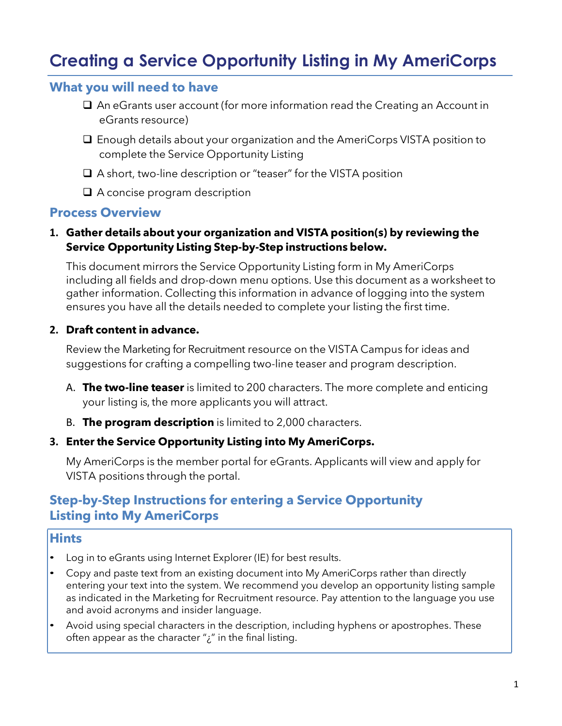# **Creating a Service Opportunity Listing in My AmeriCorps**

# **What you will need to have**

- ❑ An eGrants user account (for more information read the Creating an Account in eGrants resource)
- ❑ Enough details about your organization and the AmeriCorps VISTA position to complete the Service Opportunity Listing
- ❑ A short, two-line description or "teaser" for the VISTA position
- ❑ A concise program description

# **Process Overview**

## **1. Gather details about your organization and VISTA position(s) by reviewing the Service Opportunity Listing Step-by-Step instructions below.**

This document mirrors the Service Opportunity Listing form in My AmeriCorps including all fields and drop-down menu options. Use this document as a worksheet to gather information. Collecting this information in advance of logging into the system ensures you have all the details needed to complete your listing the first time.

#### **2. Draft content in advance.**

Review the Marketing for Recruitment resource on the VISTA Campus for ideas and suggestions for crafting a compelling two-line teaser and program description.

- A. **The two-line teaser** is limited to 200 characters. The more complete and enticing your listing is, the more applicants you will attract.
- B. **The program description** is limited to 2,000 characters.

## **3. Enter the Service Opportunity Listing into My AmeriCorps.**

My AmeriCorps is the member portal for eGrants. Applicants will view and apply for VISTA positions through the portal.

# **Step-by-Step Instructions for entering a Service Opportunity Listing into My AmeriCorps**

# **Hints**

- Log in to eGrants using Internet Explorer (IE) for best results.
- Copy and paste text from an existing document into My AmeriCorps rather than directly entering your text into the system. We recommend you develop an opportunity listing sample as indicated in the Marketing for Recruitment resource. Pay attention to the language you use and avoid acronyms and insider language.
- Avoid using special characters in the description, including hyphens or apostrophes. These often appear as the character " $i$ " in the final listing.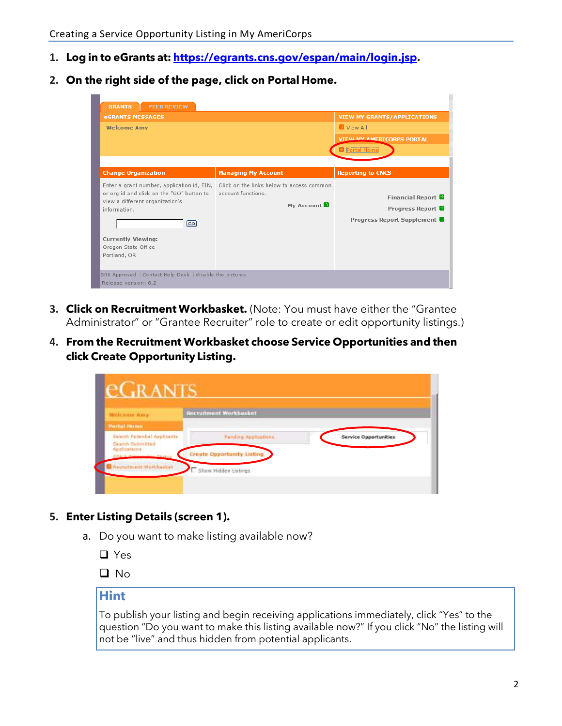- **1. Log in to eGrants at: [https://egrants.cns.gov/espan/main/login.jsp.](https://egrants.cns.gov/espan/main/login.jsp)**
- **2. On the right side of the page, click on Portal Home.**

| <b>PEER REVIEW</b><br><b>GRANTS</b><br><b>eGRANTS MESSAGES</b>                                                                                                                  |                                                                               | <b>VIEW MY GRANTS/APPLICATIONS</b>                                   |
|---------------------------------------------------------------------------------------------------------------------------------------------------------------------------------|-------------------------------------------------------------------------------|----------------------------------------------------------------------|
| <b>Welcome Amy</b>                                                                                                                                                              |                                                                               | View All<br><b>VIEW MY AMERICORPS PORTAL</b><br><b>B</b> Portal Home |
| <b>Change Organization</b>                                                                                                                                                      | <b>Managing My Account</b>                                                    | <b>Reporting to CNCS</b>                                             |
| Enter a grant number, application id, EIN,<br>or org id and click on the "GO" button to<br>view a different organization's<br>information.<br>[GO]<br><b>Currently Viewing:</b> | Click on the links below to access common<br>account functions.<br>My Account | Financial Report<br>Progress Report<br>Progress Report Supplement    |
| Oregon State Office<br>Portland, OR<br>508 Approved   Contact Help Desk   disable the pictures<br>Release version: 6.2                                                          |                                                                               |                                                                      |

- **3. Click on Recruitment Workbasket.** (Note: You must have either the "Grantee Administrator" or "Grantee Recruiter" role to create or edit opportunity listings.)
- **4. From the Recruitment Workbasket choose Service Opportunities and then click Create Opportunity Listing.**

| ec.rants                                               |                                   |                              |
|--------------------------------------------------------|-----------------------------------|------------------------------|
| <b>Wistconner Amy</b>                                  | <b>Recruitment Workbasket</b>     |                              |
| <b>Portal Home</b>                                     |                                   |                              |
| Search Potential Applicants<br><b>Search Bubmitted</b> | Panding Applications              | <b>Service Opportunities</b> |
| <b>Applications</b><br><b>PERMIT</b>                   | <b>Create Opportunity Listing</b> |                              |
| Recruitment Workbasket                                 | Show Hidden Listings              |                              |
|                                                        |                                   |                              |

- **5. Enter Listing Details (screen 1).**
	- a. Do you want to make listing available now?
		- ❑ Yes
		- ❑ No

# **Hint**

To publish your listing and begin receiving applications immediately, click "Yes" to the question "Do you want to make this listing available now?" If you click "No" the listing will not be "live" and thus hidden from potential applicants.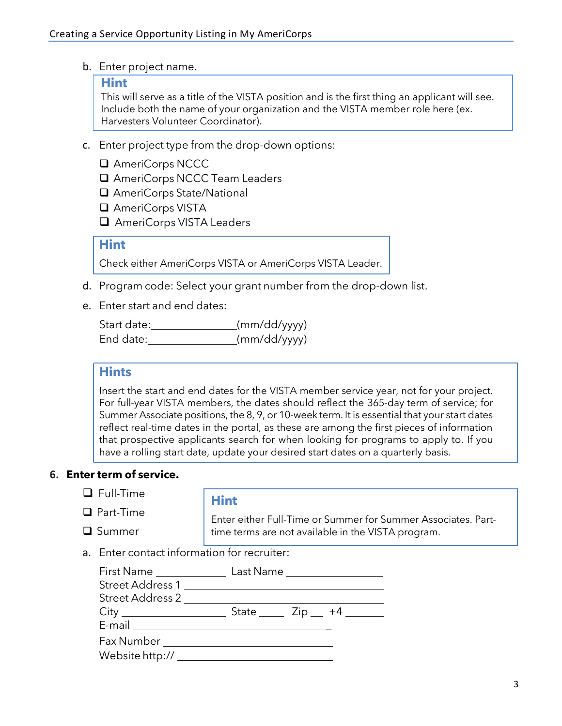b. Enter project name.

#### **Hint**

This will serve as a title of the VISTA position and is the first thing an applicant will see. Include both the name of your organization and the VISTA member role here (ex. Harvesters Volunteer Coordinator).

- c. Enter project type from the drop-down options:
	- ❑ AmeriCorps NCCC
	- ❑ AmeriCorps NCCC Team Leaders
	- ❑ AmeriCorps State/National
	- ❑ AmeriCorps VISTA
	- ❑ AmeriCorps VISTA Leaders

#### **Hint**

Check either AmeriCorps VISTA or AmeriCorps VISTA Leader.

- d. Program code: Select your grant number from the drop-down list.
- e. Enter start and end dates:

| Start date: | (mm/dd/yyyy) |
|-------------|--------------|
| End date:   | (mm/dd/yyyy) |

#### **Hints**

Insert the start and end dates for the VISTA member service year, not for your project. For full-year VISTA members, the dates should reflect the 365-day term of service; for Summer Associate positions, the 8, 9, or 10-week term. It is essential that your start dates reflect real-time dates in the portal, as these are among the first pieces of information that prospective applicants search for when looking for programs to apply to. If you have a rolling start date, update your desired start dates on a quarterly basis.

#### **6. Enter term of service.**

- ❑ Full-Time
- ❑ Part-Time
- ❑ Summer

#### **Hint**

Enter either Full-Time or Summer for Summer Associates. Parttime terms are not available in the VISTA program.

a. Enter contact information for recruiter:

| First Name _____________                                                                                                                                                                                                                                                                                                                                                  | Last Name _____________________                     |  |
|---------------------------------------------------------------------------------------------------------------------------------------------------------------------------------------------------------------------------------------------------------------------------------------------------------------------------------------------------------------------------|-----------------------------------------------------|--|
| Street Address 1                                                                                                                                                                                                                                                                                                                                                          |                                                     |  |
| Street Address 2                                                                                                                                                                                                                                                                                                                                                          |                                                     |  |
|                                                                                                                                                                                                                                                                                                                                                                           | State $\frac{1}{2}$ Zip $\frac{1}{4}$ $\frac{1}{2}$ |  |
| $E\text{-mail} \begin{tabular}{ c c } \hline \rule{0.3cm}{.4cm} \rule{0.3cm}{.4cm} \rule{0.3cm}{.4cm} \rule{0.3cm}{.4cm} \rule{0.3cm}{.4cm} \rule{0.3cm}{.4cm} \rule{0.3cm}{.4cm} \rule{0.3cm}{.4cm} \rule{0.3cm}{.4cm} \rule{0.3cm}{.4cm} \rule{0.3cm}{.4cm} \rule{0.3cm}{.4cm} \rule{0.3cm}{.4cm} \rule{0.3cm}{.4cm} \rule{0.3cm}{.4cm} \rule{0.3cm}{.4cm} \rule{0.3cm$ |                                                     |  |
| Fax Number <b>Example 20</b>                                                                                                                                                                                                                                                                                                                                              |                                                     |  |
|                                                                                                                                                                                                                                                                                                                                                                           |                                                     |  |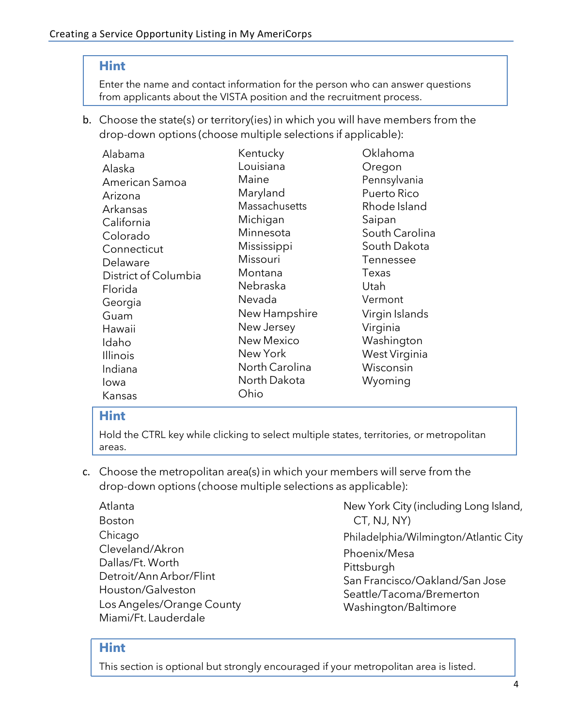# **Hint**

Enter the name and contact information for the person who can answer questions from applicants about the VISTA position and the recruitment process.

b. Choose the state(s) or territory(ies) in which you will have members from the drop-down options (choose multiple selections if applicable):

| Alabama              | Kentucky          | Oklahoma         |
|----------------------|-------------------|------------------|
| Alaska               | Louisiana         | Oregon           |
| American Samoa       | Maine             | Pennsylvania     |
| Arizona              | Maryland          | Puerto Rico      |
| Arkansas             | Massachusetts     | Rhode Island     |
| California           | Michigan          | Saipan           |
| Colorado             | Minnesota         | South Carolina   |
| Connecticut          | Mississippi       | South Dakota     |
| Delaware             | Missouri          | <b>Tennessee</b> |
| District of Columbia | Montana           | Texas            |
| Florida              | Nebraska          | Utah             |
| Georgia              | Nevada            | Vermont          |
| Guam                 | New Hampshire     | Virgin Islands   |
| Hawaii               | New Jersey        | Virginia         |
| Idaho                | <b>New Mexico</b> | Washington       |
| <b>Illinois</b>      | New York          | West Virginia    |
| Indiana              | North Carolina    | Wisconsin        |
| lowa                 | North Dakota      | Wyoming          |
| Kansas               | Ohio              |                  |

# **Hint**

Hold the CTRL key while clicking to select multiple states, territories, or metropolitan areas.

- c. Choose the metropolitan area(s) in which your members will serve from the drop-down options (choose multiple selections as applicable):
	- Atlanta Boston Chicago Cleveland/Akron Dallas/Ft. Worth Detroit/Ann Arbor/Flint Houston/Galveston Los Angeles/Orange County Miami/Ft. Lauderdale

New York City (including Long Island, CT, NJ, NY) Philadelphia/Wilmington/Atlantic City Phoenix/Mesa

Pittsburgh San Francisco/Oakland/San Jose Seattle/Tacoma/Bremerton Washington/Baltimore

# **Hint**

This section is optional but strongly encouraged if your metropolitan area is listed.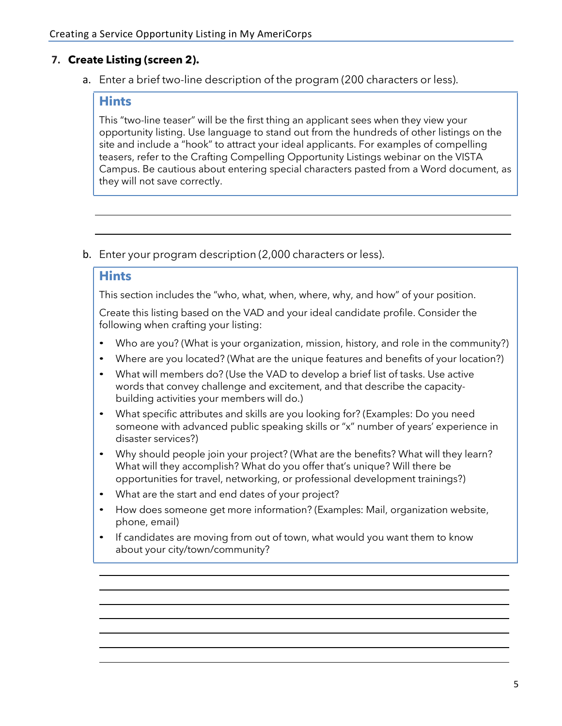# **7. Create Listing (screen 2).**

a. Enter a brief two-line description of the program (200 characters or less).

#### **Hints**

This "two-line teaser" will be the first thing an applicant sees when they view your opportunity listing. Use language to stand out from the hundreds of other listings on the site and include a "hook" to attract your ideal applicants. For examples of compelling teasers, refer to the Crafting Compelling Opportunity Listings webinar on the VISTA Campus. Be cautious about entering special characters pasted from a Word document, as they will not save correctly.

b. Enter your program description (2,000 characters or less).

## **Hints**

This section includes the "who, what, when, where, why, and how" of your position.

Create this listing based on the VAD and your ideal candidate profile. Consider the following when crafting your listing:

- Who are you? (What is your organization, mission, history, and role in the community?)
- Where are you located? (What are the unique features and benefits of your location?)
- What will members do? (Use the VAD to develop a brief list of tasks. Use active words that convey challenge and excitement, and that describe the capacitybuilding activities your members will do.)
- What specific attributes and skills are you looking for? (Examples: Do you need someone with advanced public speaking skills or "x" number of years' experience in disaster services?)
- Why should people join your project? (What are the benefits? What will they learn? What will they accomplish? What do you offer that's unique? Will there be opportunities for travel, networking, or professional development trainings?)
- What are the start and end dates of your project?
- How does someone get more information? (Examples: Mail, organization website, phone, email)
- If candidates are moving from out of town, what would you want them to know about your city/town/community?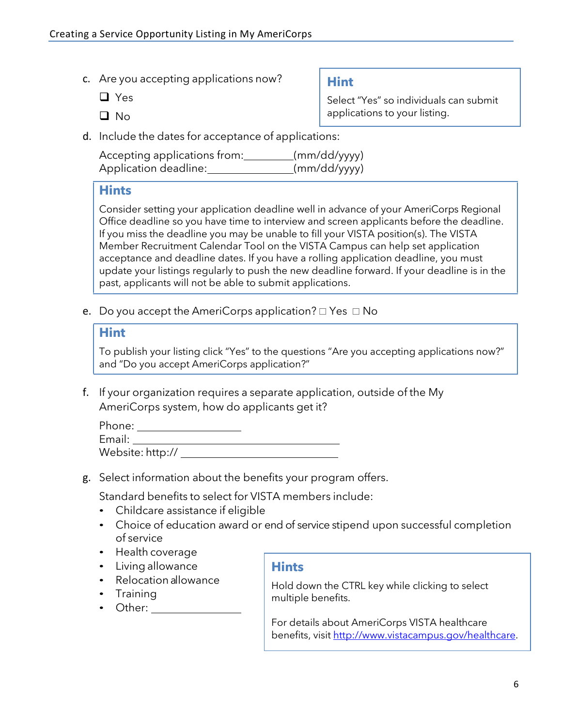- c. Are you accepting applications now?
	- ❑ Yes
	- ❑ No

**Hint**

Select "Yes" so individuals can submit applications to your listing.

d. Include the dates for acceptance of applications:

| Accepting applications from: | (mm/dd/yyyy) |
|------------------------------|--------------|
| Application deadline:        | (mm/dd/yyyy) |

## **Hints**

Consider setting your application deadline well in advance of your AmeriCorps Regional Office deadline so you have time to interview and screen applicants before the deadline. If you miss the deadline you may be unable to fill your VISTA position(s). The VISTA Member Recruitment Calendar Tool on the VISTA Campus can help set application acceptance and deadline dates. If you have a rolling application deadline, you must update your listings regularly to push the new deadline forward. If your deadline is in the past, applicants will not be able to submit applications.

e. Do you accept the AmeriCorps application?  $\Box$  Yes  $\Box$  No

# **Hint**

To publish your listing click "Yes" to the questions "Are you accepting applications now?" and "Do you accept AmeriCorps application?"

f. If your organization requires a separate application, outside of the My AmeriCorps system, how do applicants get it?

| Phone:           |  |  |
|------------------|--|--|
| Email:           |  |  |
| Website: http:// |  |  |

g. Select information about the benefits your program offers.

Standard benefits to select for VISTA members include:

- Childcare assistance if eligible
- Choice of education award or end of service stipend upon successful completion of service
- Health coverage
- Living allowance
- Relocation allowance
- Training
- Other:

# **Hints**

Hold down the CTRL key while clicking to select multiple benefits.

For details about AmeriCorps VISTA healthcare benefits, visit [http://www.vistacampus.gov/healthcare.](http://www.vistacampus.gov/healthcare)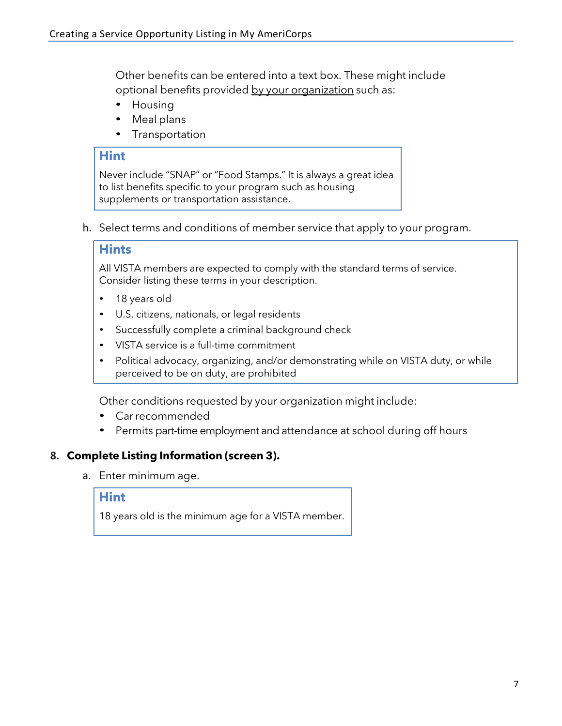Other benefits can be entered into a text box. These might include optional benefits provided by your organization such as:

- Housing
- Meal plans
- Transportation

# **Hint**

Never include "SNAP" or "Food Stamps." It is always a great idea to list benefits specific to your program such as housing supplements or transportation assistance.

h. Select terms and conditions of member service that apply to your program.

## **Hints**

All VISTA members are expected to comply with the standard terms of service. Consider listing these terms in your description.

- 18 years old
- U.S. citizens, nationals, or legal residents
- Successfully complete a criminal background check
- VISTA service is a full-time commitment
- Political advocacy, organizing, and/or demonstrating while on VISTA duty, or while perceived to be on duty, are prohibited

Other conditions requested by your organization might include:

- Carrecommended
- Permits part-time employment and attendance at school during off hours

# **8. Complete Listing Information (screen 3).**

a. Enter minimum age.

#### **Hint**

18 years old is the minimum age for a VISTA member.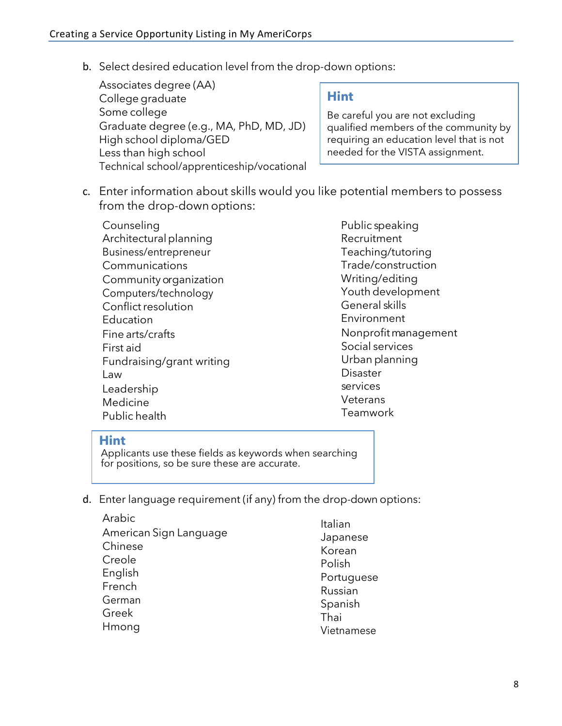b. Select desired education level from the drop-down options:

| Associates degree (AA)                     |                                          |
|--------------------------------------------|------------------------------------------|
| College graduate                           | <b>Hint</b>                              |
| Some college                               | Be careful you are not excluding         |
| Graduate degree (e.g., MA, PhD, MD, JD)    | qualified members of the community by    |
| High school diploma/GED                    | requiring an education level that is not |
| Less than high school                      | needed for the VISTA assignment.         |
| Technical school/apprenticeship/vocational |                                          |

c. Enter information about skills would you like potential members to possess from the drop-down options:

Counseling Architectural planning Business/entrepreneur Communications Community organization Computers/technology Conflict resolution Education Fine arts/crafts First aid Fundraising/grant writing Law Leadership Medicine Public health

Public speaking Recruitment Teaching/tutoring Trade/construction Writing/editing Youth development General skills Environment Nonprofitmanagement Social services Urban planning Disaster services **Veterans** Teamwork

# **Hint**

Applicants use these fields as keywords when searching for positions, so be sure these are accurate.

d. Enter language requirement (if any) from the drop-down options:

| Arabic                 | Italian    |
|------------------------|------------|
| American Sign Language | Japanese   |
| Chinese                | Korean     |
| Creole                 | Polish     |
| English                | Portuguese |
| French                 | Russian    |
| German                 | Spanish    |
| Greek                  | Thai       |
| Hmong                  | Vietnamese |